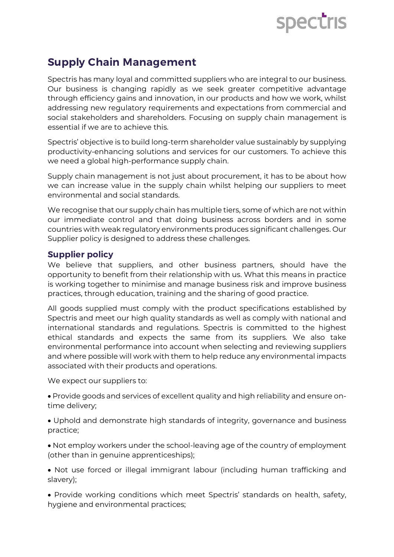

## **Supply Chain Management**

Spectris has many loyal and committed suppliers who are integral to our business. Our business is changing rapidly as we seek greater competitive advantage through efficiency gains and innovation, in our products and how we work, whilst addressing new regulatory requirements and expectations from commercial and social stakeholders and shareholders. Focusing on supply chain management is essential if we are to achieve this.

Spectris' objective is to build long-term shareholder value sustainably by supplying productivity-enhancing solutions and services for our customers. To achieve this we need a global high-performance supply chain.

Supply chain management is not just about procurement, it has to be about how we can increase value in the supply chain whilst helping our suppliers to meet environmental and social standards.

We recognise that our supply chain has multiple tiers, some of which are not within our immediate control and that doing business across borders and in some countries with weak regulatory environments produces significant challenges. Our Supplier policy is designed to address these challenges.

## **Supplier policy**

We believe that suppliers, and other business partners, should have the opportunity to benefit from their relationship with us. What this means in practice is working together to minimise and manage business risk and improve business practices, through education, training and the sharing of good practice.

All goods supplied must comply with the product specifications established by Spectris and meet our high quality standards as well as comply with national and international standards and regulations. Spectris is committed to the highest ethical standards and expects the same from its suppliers. We also take environmental performance into account when selecting and reviewing suppliers and where possible will work with them to help reduce any environmental impacts associated with their products and operations.

We expect our suppliers to:

• Provide goods and services of excellent quality and high reliability and ensure ontime delivery;

• Uphold and demonstrate high standards of integrity, governance and business practice;

• Not employ workers under the school-leaving age of the country of employment (other than in genuine apprenticeships);

• Not use forced or illegal immigrant labour (including human trafficking and slavery);

• Provide working conditions which meet Spectris' standards on health, safety, hygiene and environmental practices;